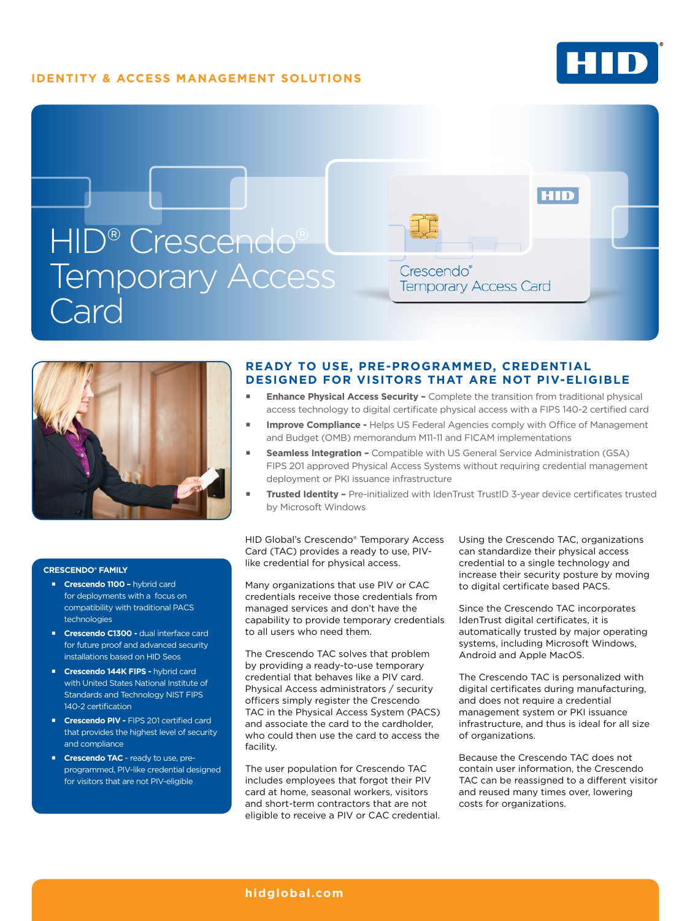## **IDENTITY & ACCESS MANAGEMENT SOLUTIONS**





#### **CRESCENDO® FAMILY**

- **Crescendo 1100 -** hybrid card for deployments with a focus on compatibility with traditional PACS technologies
- **Crescendo C1300 dual interface card** for future proof and advanced security installations based on HID Seos
- **Crescendo 144K FIPS hybrid card** with United States National Institute of Standards and Technology NIST FIPS 140-2 certification
- **Crescendo PIV FIPS 201 certified card** that provides the highest level of security and compliance
- **Crescendo TAC** ready to use, preprogrammed, PIV-like credential designed for visitors that are not PIV-eligible

### **READY TO USE, PRE-PROGRAMMED, CREDENTIAL DESIGNED FOR VISITORS THAT ARE NOT PIV-ELIGIBLE**

- **Enhance Physical Access Security -** Complete the transition from traditional physical access technology to digital certificate physical access with a FIPS 140-2 certified card
- **Improve Compliance** Helps US Federal Agencies comply with Office of Management and Budget (OMB) memorandum M11-11 and FICAM implementations
- **Seamless Integration** Compatible with US General Service Administration (GSA) FIPS 201 approved Physical Access Systems without requiring credential management deployment or PKI issuance infrastructure
- **Trusted Identity** Pre-initialized with IdenTrust TrustID 3-year device certificates trusted by Microsoft Windows

HID Global's Crescendo® Temporary Access Card (TAC) provides a ready to use, PIVlike credential for physical access.

Many organizations that use PIV or CAC credentials receive those credentials from managed services and don't have the capability to provide temporary credentials to all users who need them.

The Crescendo TAC solves that problem by providing a ready-to-use temporary credential that behaves like a PIV card. Physical Access administrators / security officers simply register the Crescendo TAC in the Physical Access System (PACS) and associate the card to the cardholder, who could then use the card to access the facility.

The user population for Crescendo TAC includes employees that forgot their PIV card at home, seasonal workers, visitors and short-term contractors that are not eligible to receive a PIV or CAC credential. Using the Crescendo TAC, organizations can standardize their physical access credential to a single technology and increase their security posture by moving to digital certificate based PACS.

Since the Crescendo TAC incorporates IdenTrust digital certificates, it is automatically trusted by major operating systems, including Microsoft Windows, Android and Apple MacOS.

The Crescendo TAC is personalized with digital certificates during manufacturing, and does not require a credential management system or PKI issuance infrastructure, and thus is ideal for all size of organizations.

Because the Crescendo TAC does not contain user information, the Crescendo TAC can be reassigned to a different visitor and reused many times over, lowering costs for organizations.

#### **[hidglobal.com](http://www.hidglobal.com)**